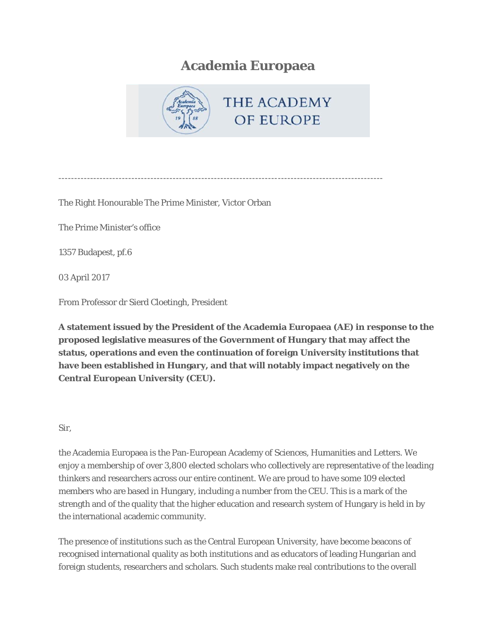## **Academia Europaea**



The Right Honourable The Prime Minister, Victor Orban

The Prime Minister's office

1357 Budapest, pf.6

03 April 2017

From Professor dr Sierd Cloetingh, President

A statement issued by the President of the Academia Europaea (AE) in response to the proposed legislative measures of the Government of Hungary that may affect the status, operations and even the continuation of foreign University institutions that have been established in Hungary, and that will notably impact negatively on the **Central European University (CEU).** 

## Sir.

the Academia Europaea is the Pan-European Academy of Sciences, Humanities and Letters. We enjoy a membership of over 3,800 elected scholars who collectively are representative of the leading thinkers and researchers across our entire continent. We are proud to have some 109 elected members who are based in Hungary, including a number from the CEU. This is a mark of the strength and of the quality that the higher education and research system of Hungary is held in by the international academic community.

The presence of institutions such as the Central European University, have become beacons of recognised international quality as both institutions and as educators of leading Hungarian and foreign students, researchers and scholars. Such students make real contributions to the overall